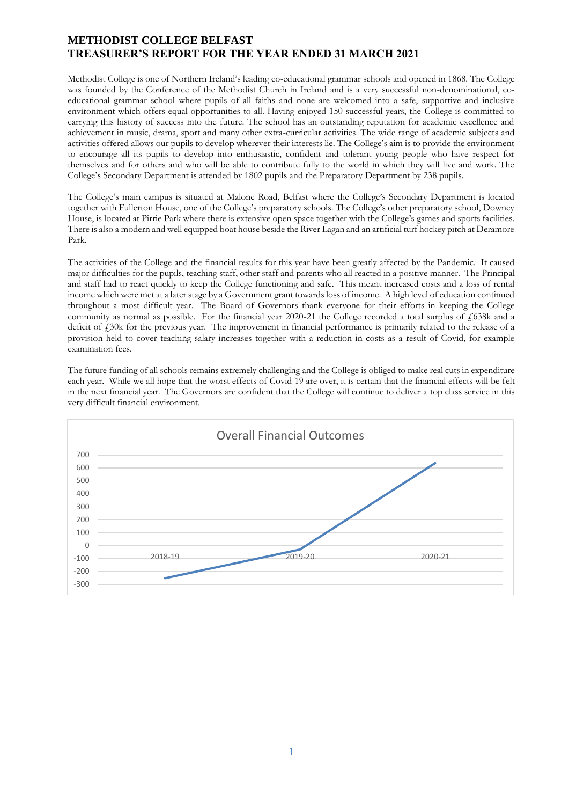## **METHODIST COLLEGE BELFAST TREASURER'S REPORT FOR THE YEAR ENDED 31 MARCH 2021**

Methodist College is one of Northern Ireland's leading co-educational grammar schools and opened in 1868. The College was founded by the Conference of the Methodist Church in Ireland and is a very successful non-denominational, coeducational grammar school where pupils of all faiths and none are welcomed into a safe, supportive and inclusive environment which offers equal opportunities to all. Having enjoyed 150 successful years, the College is committed to carrying this history of success into the future. The school has an outstanding reputation for academic excellence and achievement in music, drama, sport and many other extra-curricular activities. The wide range of academic subjects and activities offered allows our pupils to develop wherever their interests lie. The College's aim is to provide the environment to encourage all its pupils to develop into enthusiastic, confident and tolerant young people who have respect for themselves and for others and who will be able to contribute fully to the world in which they will live and work. The College's Secondary Department is attended by 1802 pupils and the Preparatory Department by 238 pupils.

The College's main campus is situated at Malone Road, Belfast where the College's Secondary Department is located together with Fullerton House, one of the College's preparatory schools. The College's other preparatory school, Downey House, is located at Pirrie Park where there is extensive open space together with the College's games and sports facilities. There is also a modern and well equipped boat house beside the River Lagan and an artificial turf hockey pitch at Deramore Park.

The activities of the College and the financial results for this year have been greatly affected by the Pandemic. It caused major difficulties for the pupils, teaching staff, other staff and parents who all reacted in a positive manner. The Principal and staff had to react quickly to keep the College functioning and safe. This meant increased costs and a loss of rental income which were met at a later stage by a Government grant towards loss of income. A high level of education continued throughout a most difficult year. The Board of Governors thank everyone for their efforts in keeping the College community as normal as possible. For the financial year 2020-21 the College recorded a total surplus of  $\frac{1}{638k}$  and a deficit of  $\ell$ 30k for the previous year. The improvement in financial performance is primarily related to the release of a provision held to cover teaching salary increases together with a reduction in costs as a result of Covid, for example examination fees.

The future funding of all schools remains extremely challenging and the College is obliged to make real cuts in expenditure each year. While we all hope that the worst effects of Covid 19 are over, it is certain that the financial effects will be felt in the next financial year. The Governors are confident that the College will continue to deliver a top class service in this very difficult financial environment.

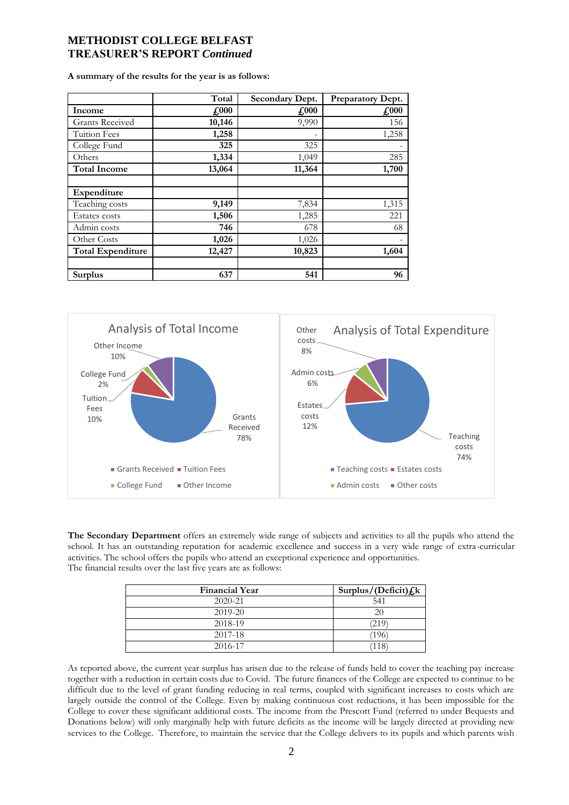# **METHODIST COLLEGE BELFAST TREASURER'S REPORT** *Continued*

**A summary of the results for the year is as follows:**

|                          | Total         | Secondary Dept. | Preparatory Dept. |
|--------------------------|---------------|-----------------|-------------------|
| Income                   | $\pounds 000$ | $\pounds$ 000   | $\pounds$ 000     |
| <b>Grants Received</b>   | 10,146        | 9,990           | 156               |
| Tuition Fees             | 1,258         | ۰               | 1,258             |
| College Fund             | 325           | 325             |                   |
| Others                   | 1,334         | 1,049           | 285               |
| <b>Total Income</b>      | 13,064        | 11,364          | 1,700             |
| Expenditure              |               |                 |                   |
| Teaching costs           | 9,149         | 7,834           | 1,315             |
| Estates costs            | 1,506         | 1,285           | 221               |
| Admin costs              | 746           | 678             | 68                |
| Other Costs              | 1,026         | 1,026           |                   |
| <b>Total Expenditure</b> | 12,427        | 10,823          | 1,604             |
|                          |               |                 |                   |
| <b>Surplus</b>           | 637           | 541             | 96                |



**The Secondary Department** offers an extremely wide range of subjects and activities to all the pupils who attend the school. It has an outstanding reputation for academic excellence and success in a very wide range of extra-curricular activities. The school offers the pupils who attend an exceptional experience and opportunities. The financial results over the last five years are as follows:

| <b>Financial Year</b> | Surplus/(Deficit) $f_k$ |
|-----------------------|-------------------------|
| $2020 - 21$           | 541                     |
| 2019-20               |                         |
| 2018-19               | (219                    |
| 2017-18               | 196                     |
| 2016-17               |                         |

As reported above, the current year surplus has arisen due to the release of funds held to cover the teaching pay increase together with a reduction in certain costs due to Covid. The future finances of the College are expected to continue to be difficult due to the level of grant funding reducing in real terms, coupled with significant increases to costs which are largely outside the control of the College. Even by making continuous cost reductions, it has been impossible for the College to cover these significant additional costs. The income from the Prescott Fund (referred to under Bequests and Donations below) will only marginally help with future deficits as the income will be largely directed at providing new services to the College. Therefore, to maintain the service that the College delivers to its pupils and which parents wish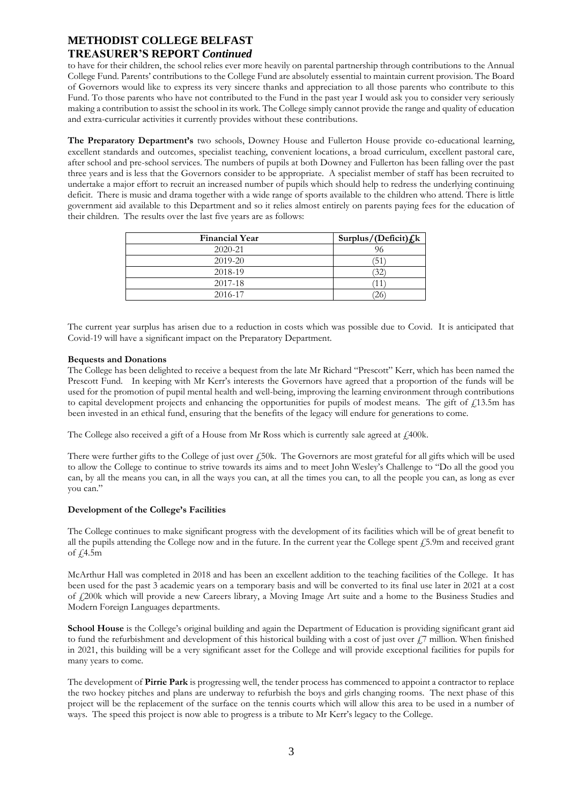## **METHODIST COLLEGE BELFAST**

### **TREASURER'S REPORT** *Continued*

to have for their children, the school relies ever more heavily on parental partnership through contributions to the Annual College Fund. Parents' contributions to the College Fund are absolutely essential to maintain current provision. The Board of Governors would like to express its very sincere thanks and appreciation to all those parents who contribute to this Fund. To those parents who have not contributed to the Fund in the past year I would ask you to consider very seriously making a contribution to assist the school in its work. The College simply cannot provide the range and quality of education and extra-curricular activities it currently provides without these contributions.

**The Preparatory Department's** two schools, Downey House and Fullerton House provide co-educational learning, excellent standards and outcomes, specialist teaching, convenient locations, a broad curriculum, excellent pastoral care, after school and pre-school services. The numbers of pupils at both Downey and Fullerton has been falling over the past three years and is less that the Governors consider to be appropriate. A specialist member of staff has been recruited to undertake a major effort to recruit an increased number of pupils which should help to redress the underlying continuing deficit. There is music and drama together with a wide range of sports available to the children who attend. There is little government aid available to this Department and so it relies almost entirely on parents paying fees for the education of their children. The results over the last five years are as follows:

| <b>Financial Year</b> | Surplus/(Deficit) $f_k$ k |
|-----------------------|---------------------------|
| $2020 - 21$           |                           |
| 2019-20               | 51                        |
| 2018-19               | 32                        |
| 2017-18               |                           |
| 2016-17               |                           |

The current year surplus has arisen due to a reduction in costs which was possible due to Covid. It is anticipated that Covid-19 will have a significant impact on the Preparatory Department.

### **Bequests and Donations**

The College has been delighted to receive a bequest from the late Mr Richard "Prescott" Kerr, which has been named the Prescott Fund. In keeping with Mr Kerr's interests the Governors have agreed that a proportion of the funds will be used for the promotion of pupil mental health and well-being, improving the learning environment through contributions to capital development projects and enhancing the opportunities for pupils of modest means. The gift of £13.5m has been invested in an ethical fund, ensuring that the benefits of the legacy will endure for generations to come.

The College also received a gift of a House from Mr Ross which is currently sale agreed at  $\ell$ 400k.

There were further gifts to the College of just over £50k. The Governors are most grateful for all gifts which will be used to allow the College to continue to strive towards its aims and to meet John Wesley's Challenge to "Do all the good you can, by all the means you can, in all the ways you can, at all the times you can, to all the people you can, as long as ever you can."

### **Development of the College's Facilities**

The College continues to make significant progress with the development of its facilities which will be of great benefit to all the pupils attending the College now and in the future. In the current year the College spent £5.9m and received grant of  $f$ 4.5m

McArthur Hall was completed in 2018 and has been an excellent addition to the teaching facilities of the College. It has been used for the past 3 academic years on a temporary basis and will be converted to its final use later in 2021 at a cost of £200k which will provide a new Careers library, a Moving Image Art suite and a home to the Business Studies and Modern Foreign Languages departments.

**School House** is the College's original building and again the Department of Education is providing significant grant aid to fund the refurbishment and development of this historical building with a cost of just over  $\ell$ .7 million. When finished in 2021, this building will be a very significant asset for the College and will provide exceptional facilities for pupils for many years to come.

The development of **Pirrie Park** is progressing well, the tender process has commenced to appoint a contractor to replace the two hockey pitches and plans are underway to refurbish the boys and girls changing rooms. The next phase of this project will be the replacement of the surface on the tennis courts which will allow this area to be used in a number of ways. The speed this project is now able to progress is a tribute to Mr Kerr's legacy to the College.